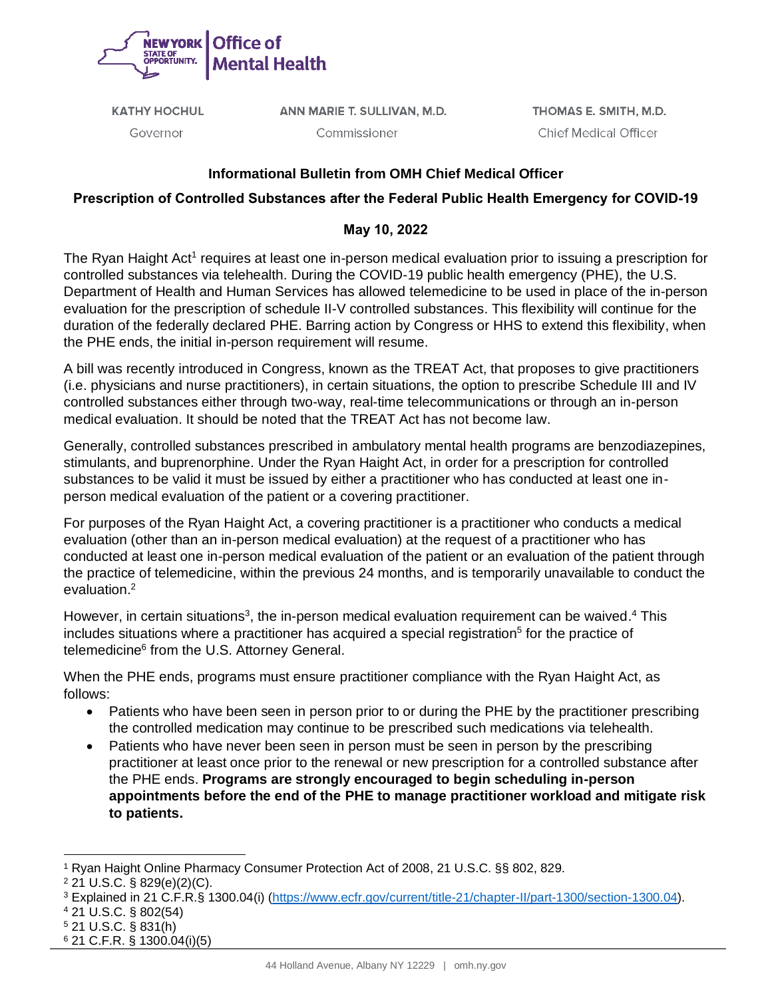

**KATHY HOCHUL** 

ANN MARIE T. SULLIVAN, M.D.

Governor

Commissioner

THOMAS E. SMITH, M.D. **Chief Medical Officer** 

## **Informational Bulletin from OMH Chief Medical Officer**

## **Prescription of Controlled Substances after the Federal Public Health Emergency for COVID-19**

## **May 10, 2022**

The Ryan Haight Act<sup>1</sup> requires at least one in-person medical evaluation prior to issuing a prescription for controlled substances via telehealth. During the COVID-19 public health emergency (PHE), the U.S. Department of Health and Human Services has allowed telemedicine to be used in place of the in-person evaluation for the prescription of schedule II-V controlled substances. This flexibility will continue for the duration of the federally declared PHE. Barring action by Congress or HHS to extend this flexibility, when the PHE ends, the initial in-person requirement will resume.

A bill was recently introduced in Congress, known as the TREAT Act, that proposes to give practitioners (i.e. physicians and nurse practitioners), in certain situations, the option to prescribe Schedule III and IV controlled substances either through two-way, real-time telecommunications or through an in-person medical evaluation. It should be noted that the TREAT Act has not become law.

Generally, controlled substances prescribed in ambulatory mental health programs are benzodiazepines, stimulants, and buprenorphine. Under the Ryan Haight Act, in order for a prescription for controlled substances to be valid it must be issued by either a practitioner who has conducted at least one inperson medical evaluation of the patient or a covering practitioner.

For purposes of the Ryan Haight Act, a covering practitioner is a practitioner who conducts a medical evaluation (other than an in-person medical evaluation) at the request of a practitioner who has conducted at least one in-person medical evaluation of the patient or an evaluation of the patient through the practice of telemedicine, within the previous 24 months, and is temporarily unavailable to conduct the evaluation.<sup>2</sup>

However, in certain situations<sup>3</sup>, the in-person medical evaluation requirement can be waived.<sup>4</sup> This includes situations where a practitioner has acquired a special registration<sup>5</sup> for the practice of telemedicine<sup>6</sup> from the U.S. Attorney General.

When the PHE ends, programs must ensure practitioner compliance with the Ryan Haight Act, as follows:

- Patients who have been seen in person prior to or during the PHE by the practitioner prescribing the controlled medication may continue to be prescribed such medications via telehealth.
- Patients who have never been seen in person must be seen in person by the prescribing practitioner at least once prior to the renewal or new prescription for a controlled substance after the PHE ends. **Programs are strongly encouraged to begin scheduling in-person appointments before the end of the PHE to manage practitioner workload and mitigate risk to patients.**

<sup>1</sup> Ryan Haight Online Pharmacy Consumer Protection Act of 2008, 21 U.S.C. §§ 802, 829.

<sup>2</sup> 21 U.S.C. § 829(e)(2)(C).

<sup>3</sup> Explained in 21 C.F.R.§ 1300.04(i) [\(https://www.ecfr.gov/current/title-21/chapter-II/part-1300/section-1300.04\)](https://gcc02.safelinks.protection.outlook.com/?url=https%3A%2F%2Fwww.ecfr.gov%2Fcurrent%2Ftitle-21%2Fchapter-II%2Fpart-1300%2Fsection-1300.04&data=05%7C01%7CArianna.Macio%40omh.ny.gov%7Cb91a675613b2462cda9808da27ae847e%7Cf46cb8ea79004d108ceb80e8c1c81ee7%7C0%7C0%7C637865927893750060%7CUnknown%7CTWFpbGZsb3d8eyJWIjoiMC4wLjAwMDAiLCJQIjoiV2luMzIiLCJBTiI6Ik1haWwiLCJXVCI6Mn0%3D%7C3000%7C%7C%7C&sdata=LA8qLK%2BtfZOk1QjmfHZ4buUmED%2BQpfKez6%2F%2BxnialgE%3D&reserved=0).

<sup>4</sup> 21 U.S.C. § 802(54)

<sup>5</sup> 21 U.S.C. § 831(h)

<sup>6</sup> 21 C.F.R. § 1300.04(i)(5)